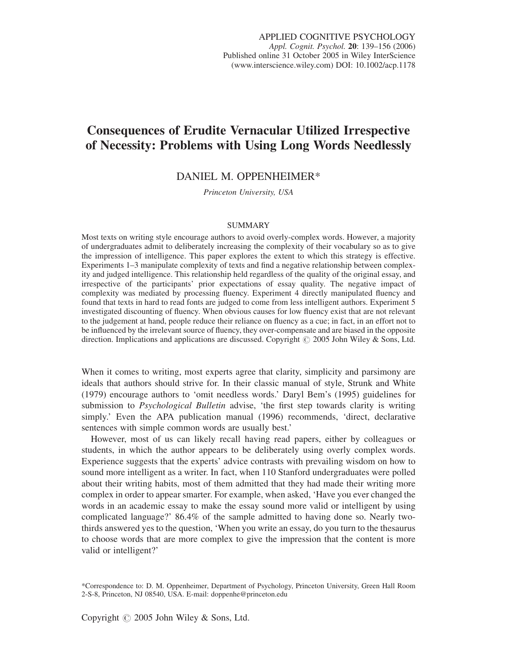## Consequences of Erudite Vernacular Utilized Irrespective of Necessity: Problems with Using Long Words Needlessly

## DANIEL M. OPPENHEIMER\*

Princeton University, USA

#### SUMMARY

Most texts on writing style encourage authors to avoid overly-complex words. However, a majority of undergraduates admit to deliberately increasing the complexity of their vocabulary so as to give the impression of intelligence. This paper explores the extent to which this strategy is effective. Experiments 1–3 manipulate complexity of texts and find a negative relationship between complexity and judged intelligence. This relationship held regardless of the quality of the original essay, and irrespective of the participants' prior expectations of essay quality. The negative impact of complexity was mediated by processing fluency. Experiment 4 directly manipulated fluency and found that texts in hard to read fonts are judged to come from less intelligent authors. Experiment 5 investigated discounting of fluency. When obvious causes for low fluency exist that are not relevant to the judgement at hand, people reduce their reliance on fluency as a cue; in fact, in an effort not to be influenced by the irrelevant source of fluency, they over-compensate and are biased in the opposite direction. Implications and applications are discussed. Copyright  $\odot$  2005 John Wiley & Sons, Ltd.

When it comes to writing, most experts agree that clarity, simplicity and parsimony are ideals that authors should strive for. In their classic manual of style, Strunk and White (1979) encourage authors to 'omit needless words.' Daryl Bem's (1995) guidelines for submission to *Psychological Bulletin* advise, 'the first step towards clarity is writing simply.' Even the APA publication manual (1996) recommends, 'direct, declarative sentences with simple common words are usually best.'

However, most of us can likely recall having read papers, either by colleagues or students, in which the author appears to be deliberately using overly complex words. Experience suggests that the experts' advice contrasts with prevailing wisdom on how to sound more intelligent as a writer. In fact, when 110 Stanford undergraduates were polled about their writing habits, most of them admitted that they had made their writing more complex in order to appear smarter. For example, when asked, 'Have you ever changed the words in an academic essay to make the essay sound more valid or intelligent by using complicated language?' 86.4% of the sample admitted to having done so. Nearly twothirds answered yes to the question, 'When you write an essay, do you turn to the thesaurus to choose words that are more complex to give the impression that the content is more valid or intelligent?'

<sup>\*</sup>Correspondence to: D. M. Oppenheimer, Department of Psychology, Princeton University, Green Hall Room 2-S-8, Princeton, NJ 08540, USA. E-mail: doppenhe@princeton.edu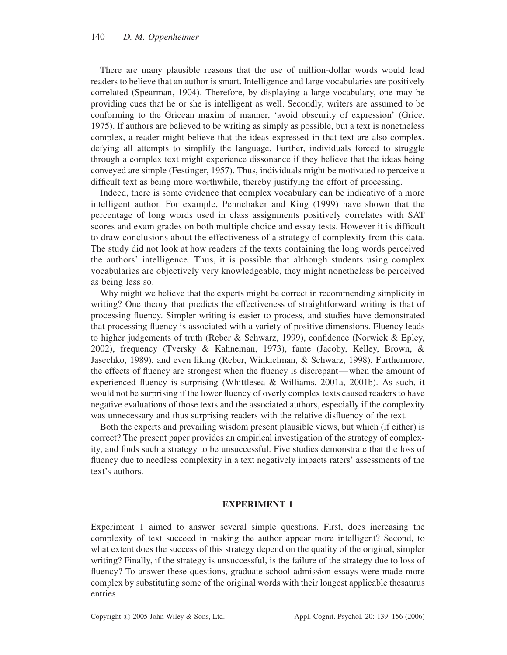There are many plausible reasons that the use of million-dollar words would lead readers to believe that an author is smart. Intelligence and large vocabularies are positively correlated (Spearman, 1904). Therefore, by displaying a large vocabulary, one may be providing cues that he or she is intelligent as well. Secondly, writers are assumed to be conforming to the Gricean maxim of manner, 'avoid obscurity of expression' (Grice, 1975). If authors are believed to be writing as simply as possible, but a text is nonetheless complex, a reader might believe that the ideas expressed in that text are also complex, defying all attempts to simplify the language. Further, individuals forced to struggle through a complex text might experience dissonance if they believe that the ideas being conveyed are simple (Festinger, 1957). Thus, individuals might be motivated to perceive a difficult text as being more worthwhile, thereby justifying the effort of processing.

Indeed, there is some evidence that complex vocabulary can be indicative of a more intelligent author. For example, Pennebaker and King (1999) have shown that the percentage of long words used in class assignments positively correlates with SAT scores and exam grades on both multiple choice and essay tests. However it is difficult to draw conclusions about the effectiveness of a strategy of complexity from this data. The study did not look at how readers of the texts containing the long words perceived the authors' intelligence. Thus, it is possible that although students using complex vocabularies are objectively very knowledgeable, they might nonetheless be perceived as being less so.

Why might we believe that the experts might be correct in recommending simplicity in writing? One theory that predicts the effectiveness of straightforward writing is that of processing fluency. Simpler writing is easier to process, and studies have demonstrated that processing fluency is associated with a variety of positive dimensions. Fluency leads to higher judgements of truth (Reber & Schwarz, 1999), confidence (Norwick & Epley, 2002), frequency (Tversky & Kahneman, 1973), fame (Jacoby, Kelley, Brown, & Jasechko, 1989), and even liking (Reber, Winkielman, & Schwarz, 1998). Furthermore, the effects of fluency are strongest when the fluency is discrepant—when the amount of experienced fluency is surprising (Whittlesea & Williams, 2001a, 2001b). As such, it would not be surprising if the lower fluency of overly complex texts caused readers to have negative evaluations of those texts and the associated authors, especially if the complexity was unnecessary and thus surprising readers with the relative disfluency of the text.

Both the experts and prevailing wisdom present plausible views, but which (if either) is correct? The present paper provides an empirical investigation of the strategy of complexity, and finds such a strategy to be unsuccessful. Five studies demonstrate that the loss of fluency due to needless complexity in a text negatively impacts raters' assessments of the text's authors.

#### EXPERIMENT 1

Experiment 1 aimed to answer several simple questions. First, does increasing the complexity of text succeed in making the author appear more intelligent? Second, to what extent does the success of this strategy depend on the quality of the original, simpler writing? Finally, if the strategy is unsuccessful, is the failure of the strategy due to loss of fluency? To answer these questions, graduate school admission essays were made more complex by substituting some of the original words with their longest applicable thesaurus entries.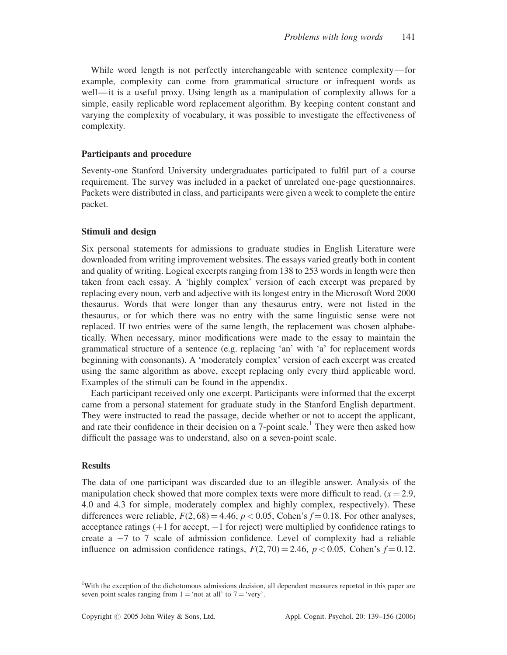While word length is not perfectly interchangeable with sentence complexity— for example, complexity can come from grammatical structure or infrequent words as well—it is a useful proxy. Using length as a manipulation of complexity allows for a simple, easily replicable word replacement algorithm. By keeping content constant and varying the complexity of vocabulary, it was possible to investigate the effectiveness of complexity.

#### Participants and procedure

Seventy-one Stanford University undergraduates participated to fulfil part of a course requirement. The survey was included in a packet of unrelated one-page questionnaires. Packets were distributed in class, and participants were given a week to complete the entire packet.

#### Stimuli and design

Six personal statements for admissions to graduate studies in English Literature were downloaded from writing improvement websites. The essays varied greatly both in content and quality of writing. Logical excerpts ranging from 138 to 253 words in length were then taken from each essay. A 'highly complex' version of each excerpt was prepared by replacing every noun, verb and adjective with its longest entry in the Microsoft Word 2000 thesaurus. Words that were longer than any thesaurus entry, were not listed in the thesaurus, or for which there was no entry with the same linguistic sense were not replaced. If two entries were of the same length, the replacement was chosen alphabetically. When necessary, minor modifications were made to the essay to maintain the grammatical structure of a sentence (e.g. replacing 'an' with 'a' for replacement words beginning with consonants). A 'moderately complex' version of each excerpt was created using the same algorithm as above, except replacing only every third applicable word. Examples of the stimuli can be found in the appendix.

Each participant received only one excerpt. Participants were informed that the excerpt came from a personal statement for graduate study in the Stanford English department. They were instructed to read the passage, decide whether or not to accept the applicant, and rate their confidence in their decision on a  $7$ -point scale.<sup>1</sup> They were then asked how difficult the passage was to understand, also on a seven-point scale.

#### **Results**

The data of one participant was discarded due to an illegible answer. Analysis of the manipulation check showed that more complex texts were more difficult to read.  $(x = 2.9,$ 4.0 and 4.3 for simple, moderately complex and highly complex, respectively). These differences were reliable,  $F(2, 68) = 4.46$ ,  $p < 0.05$ , Cohen's  $f = 0.18$ . For other analyses, acceptance ratings  $(+1$  for accept,  $-1$  for reject) were multiplied by confidence ratings to create a  $-7$  to 7 scale of admission confidence. Level of complexity had a reliable influence on admission confidence ratings,  $F(2, 70) = 2.46$ ,  $p < 0.05$ , Cohen's  $f = 0.12$ .

<sup>&</sup>lt;sup>1</sup>With the exception of the dichotomous admissions decision, all dependent measures reported in this paper are seven point scales ranging from  $1 = 'not$  at all' to  $7 = 'very'.$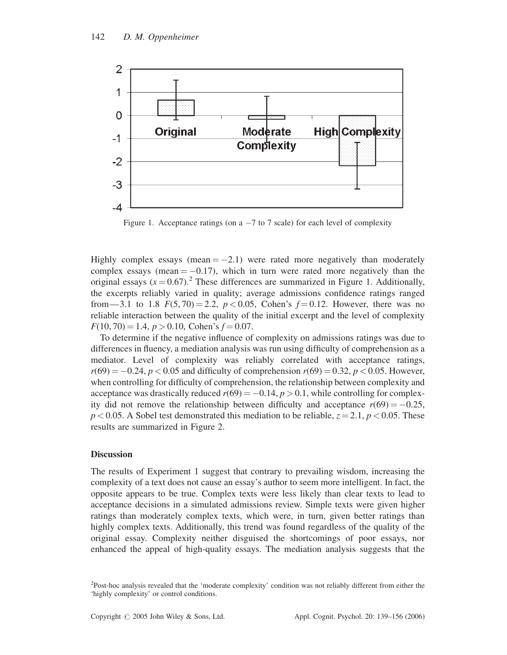

Figure 1. Acceptance ratings (on  $a - 7$  to 7 scale) for each level of complexity

Highly complex essays (mean  $= -2.1$ ) were rated more negatively than moderately complex essays (mean  $= -0.17$ ), which in turn were rated more negatively than the original essays  $(x=0.67)^2$ . These differences are summarized in Figure 1. Additionally, the excerpts reliably varied in quality; average admissions confidence ratings ranged from—3.1 to 1.8  $F(5, 70) = 2.2$ ,  $p < 0.05$ , Cohen's  $f = 0.12$ . However, there was no reliable interaction between the quality of the initial excerpt and the level of complexity  $F(10, 70) = 1.4, p > 0.10$ , Cohen's  $f = 0.07$ .

To determine if the negative influence of complexity on admissions ratings was due to differences in fluency, a mediation analysis was run using difficulty of comprehension as a mediator. Level of complexity was reliably correlated with acceptance ratings,  $r(69) = -0.24$ ,  $p < 0.05$  and difficulty of comprehension  $r(69) = 0.32$ ,  $p < 0.05$ . However, when controlling for difficulty of comprehension, the relationship between complexity and acceptance was drastically reduced  $r(69) = -0.14$ ,  $p > 0.1$ , while controlling for complexity did not remove the relationship between difficulty and acceptance  $r(69) = -0.25$ ,  $p < 0.05$ . A Sobel test demonstrated this mediation to be reliable,  $z = 2.1$ ,  $p < 0.05$ . These results are summarized in Figure 2.

## Discussion

The results of Experiment 1 suggest that contrary to prevailing wisdom, increasing the complexity of a text does not cause an essay's author to seem more intelligent. In fact, the opposite appears to be true. Complex texts were less likely than clear texts to lead to acceptance decisions in a simulated admissions review. Simple texts were given higher ratings than moderately complex texts, which were, in turn, given better ratings than highly complex texts. Additionally, this trend was found regardless of the quality of the original essay. Complexity neither disguised the shortcomings of poor essays, nor enhanced the appeal of high-quality essays. The mediation analysis suggests that the

 $2$ Post-hoc analysis revealed that the 'moderate complexity' condition was not reliably different from either the 'highly complexity' or control conditions.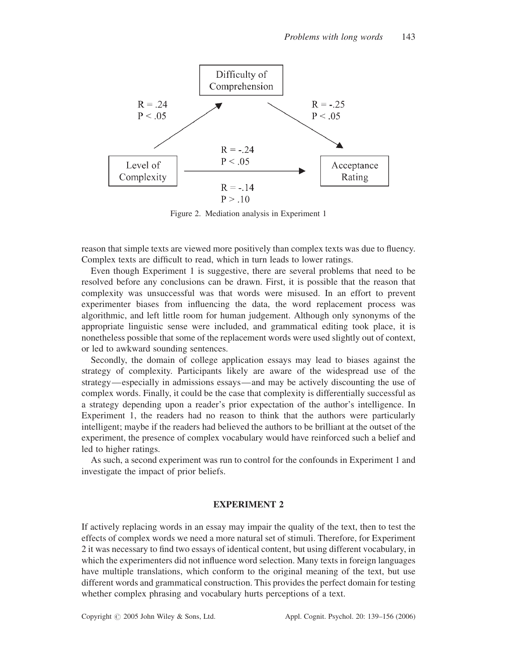

Figure 2. Mediation analysis in Experiment 1

reason that simple texts are viewed more positively than complex texts was due to fluency. Complex texts are difficult to read, which in turn leads to lower ratings.

Even though Experiment 1 is suggestive, there are several problems that need to be resolved before any conclusions can be drawn. First, it is possible that the reason that complexity was unsuccessful was that words were misused. In an effort to prevent experimenter biases from influencing the data, the word replacement process was algorithmic, and left little room for human judgement. Although only synonyms of the appropriate linguistic sense were included, and grammatical editing took place, it is nonetheless possible that some of the replacement words were used slightly out of context, or led to awkward sounding sentences.

Secondly, the domain of college application essays may lead to biases against the strategy of complexity. Participants likely are aware of the widespread use of the strategy—especially in admissions essays—and may be actively discounting the use of complex words. Finally, it could be the case that complexity is differentially successful as a strategy depending upon a reader's prior expectation of the author's intelligence. In Experiment 1, the readers had no reason to think that the authors were particularly intelligent; maybe if the readers had believed the authors to be brilliant at the outset of the experiment, the presence of complex vocabulary would have reinforced such a belief and led to higher ratings.

As such, a second experiment was run to control for the confounds in Experiment 1 and investigate the impact of prior beliefs.

## EXPERIMENT 2

If actively replacing words in an essay may impair the quality of the text, then to test the effects of complex words we need a more natural set of stimuli. Therefore, for Experiment 2 it was necessary to find two essays of identical content, but using different vocabulary, in which the experimenters did not influence word selection. Many texts in foreign languages have multiple translations, which conform to the original meaning of the text, but use different words and grammatical construction. This provides the perfect domain for testing whether complex phrasing and vocabulary hurts perceptions of a text.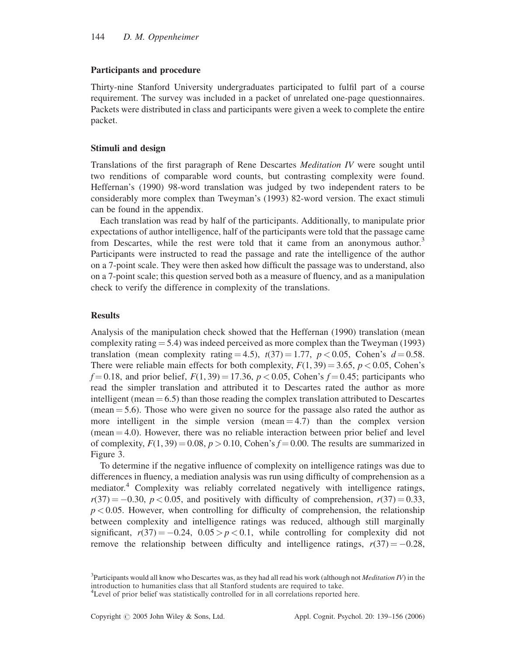#### Participants and procedure

Thirty-nine Stanford University undergraduates participated to fulfil part of a course requirement. The survey was included in a packet of unrelated one-page questionnaires. Packets were distributed in class and participants were given a week to complete the entire packet.

## Stimuli and design

Translations of the first paragraph of Rene Descartes Meditation IV were sought until two renditions of comparable word counts, but contrasting complexity were found. Heffernan's (1990) 98-word translation was judged by two independent raters to be considerably more complex than Tweyman's (1993) 82-word version. The exact stimuli can be found in the appendix.

Each translation was read by half of the participants. Additionally, to manipulate prior expectations of author intelligence, half of the participants were told that the passage came from Descartes, while the rest were told that it came from an anonymous author.<sup>3</sup> Participants were instructed to read the passage and rate the intelligence of the author on a 7-point scale. They were then asked how difficult the passage was to understand, also on a 7-point scale; this question served both as a measure of fluency, and as a manipulation check to verify the difference in complexity of the translations.

## **Results**

Analysis of the manipulation check showed that the Heffernan (1990) translation (mean complexity rating  $= 5.4$ ) was indeed perceived as more complex than the Tweyman (1993) translation (mean complexity rating  $=$  4.5),  $t(37) = 1.77$ ,  $p < 0.05$ , Cohen's  $d = 0.58$ . There were reliable main effects for both complexity,  $F(1, 39) = 3.65$ ,  $p < 0.05$ , Cohen's  $f = 0.18$ , and prior belief,  $F(1, 39) = 17.36$ ,  $p < 0.05$ , Cohen's  $f = 0.45$ ; participants who read the simpler translation and attributed it to Descartes rated the author as more intelligent (mean  $= 6.5$ ) than those reading the complex translation attributed to Descartes  $(mean = 5.6)$ . Those who were given no source for the passage also rated the author as more intelligent in the simple version (mean  $=4.7$ ) than the complex version  $(mean = 4.0)$ . However, there was no reliable interaction between prior belief and level of complexity,  $F(1, 39) = 0.08$ ,  $p > 0.10$ , Cohen's  $f = 0.00$ . The results are summarized in Figure 3.

To determine if the negative influence of complexity on intelligence ratings was due to differences in fluency, a mediation analysis was run using difficulty of comprehension as a mediator.<sup>4</sup> Complexity was reliably correlated negatively with intelligence ratings,  $r(37) = -0.30$ ,  $p < 0.05$ , and positively with difficulty of comprehension,  $r(37) = 0.33$ ,  $p < 0.05$ . However, when controlling for difficulty of comprehension, the relationship between complexity and intelligence ratings was reduced, although still marginally significant,  $r(37) = -0.24$ ,  $0.05 > p < 0.1$ , while controlling for complexity did not remove the relationship between difficulty and intelligence ratings,  $r(37) = -0.28$ ,

<sup>&</sup>lt;sup>3</sup>Participants would all know who Descartes was, as they had all read his work (although not *Meditation IV*) in the introduction to humanities class that all Stanford students are required to take.

<sup>&</sup>lt;sup>4</sup>Level of prior belief was statistically controlled for in all correlations reported here.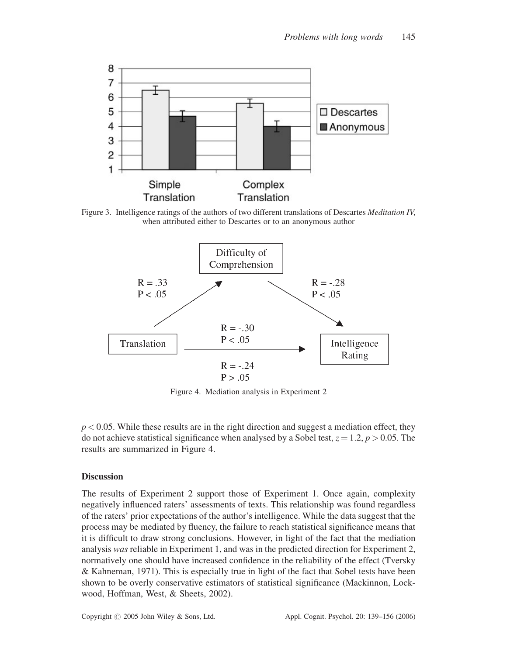

Figure 3. Intelligence ratings of the authors of two different translations of Descartes Meditation IV, when attributed either to Descartes or to an anonymous author



Figure 4. Mediation analysis in Experiment 2

 $p < 0.05$ . While these results are in the right direction and suggest a mediation effect, they do not achieve statistical significance when analysed by a Sobel test,  $z = 1.2$ ,  $p > 0.05$ . The results are summarized in Figure 4.

## **Discussion**

The results of Experiment 2 support those of Experiment 1. Once again, complexity negatively influenced raters' assessments of texts. This relationship was found regardless of the raters' prior expectations of the author's intelligence. While the data suggest that the process may be mediated by fluency, the failure to reach statistical significance means that it is difficult to draw strong conclusions. However, in light of the fact that the mediation analysis was reliable in Experiment 1, and was in the predicted direction for Experiment 2, normatively one should have increased confidence in the reliability of the effect (Tversky & Kahneman, 1971). This is especially true in light of the fact that Sobel tests have been shown to be overly conservative estimators of statistical significance (Mackinnon, Lockwood, Hoffman, West, & Sheets, 2002).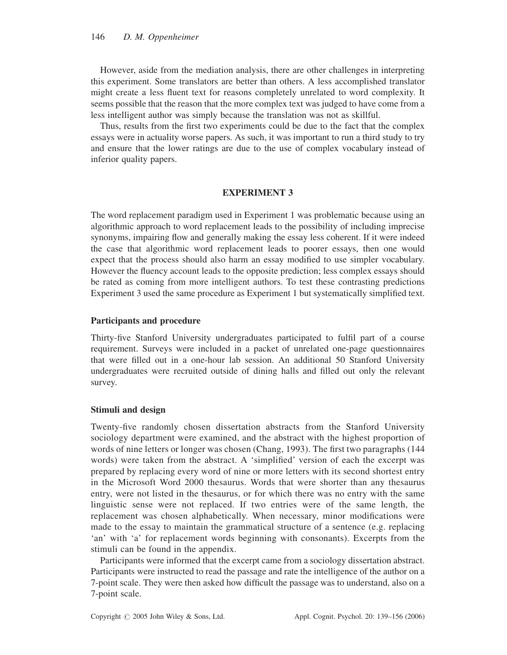However, aside from the mediation analysis, there are other challenges in interpreting this experiment. Some translators are better than others. A less accomplished translator might create a less fluent text for reasons completely unrelated to word complexity. It seems possible that the reason that the more complex text was judged to have come from a less intelligent author was simply because the translation was not as skillful.

Thus, results from the first two experiments could be due to the fact that the complex essays were in actuality worse papers. As such, it was important to run a third study to try and ensure that the lower ratings are due to the use of complex vocabulary instead of inferior quality papers.

#### EXPERIMENT 3

The word replacement paradigm used in Experiment 1 was problematic because using an algorithmic approach to word replacement leads to the possibility of including imprecise synonyms, impairing flow and generally making the essay less coherent. If it were indeed the case that algorithmic word replacement leads to poorer essays, then one would expect that the process should also harm an essay modified to use simpler vocabulary. However the fluency account leads to the opposite prediction; less complex essays should be rated as coming from more intelligent authors. To test these contrasting predictions Experiment 3 used the same procedure as Experiment 1 but systematically simplified text.

#### Participants and procedure

Thirty-five Stanford University undergraduates participated to fulfil part of a course requirement. Surveys were included in a packet of unrelated one-page questionnaires that were filled out in a one-hour lab session. An additional 50 Stanford University undergraduates were recruited outside of dining halls and filled out only the relevant survey.

#### Stimuli and design

Twenty-five randomly chosen dissertation abstracts from the Stanford University sociology department were examined, and the abstract with the highest proportion of words of nine letters or longer was chosen (Chang, 1993). The first two paragraphs (144 words) were taken from the abstract. A 'simplified' version of each the excerpt was prepared by replacing every word of nine or more letters with its second shortest entry in the Microsoft Word 2000 thesaurus. Words that were shorter than any thesaurus entry, were not listed in the thesaurus, or for which there was no entry with the same linguistic sense were not replaced. If two entries were of the same length, the replacement was chosen alphabetically. When necessary, minor modifications were made to the essay to maintain the grammatical structure of a sentence (e.g. replacing 'an' with 'a' for replacement words beginning with consonants). Excerpts from the stimuli can be found in the appendix.

Participants were informed that the excerpt came from a sociology dissertation abstract. Participants were instructed to read the passage and rate the intelligence of the author on a 7-point scale. They were then asked how difficult the passage was to understand, also on a 7-point scale.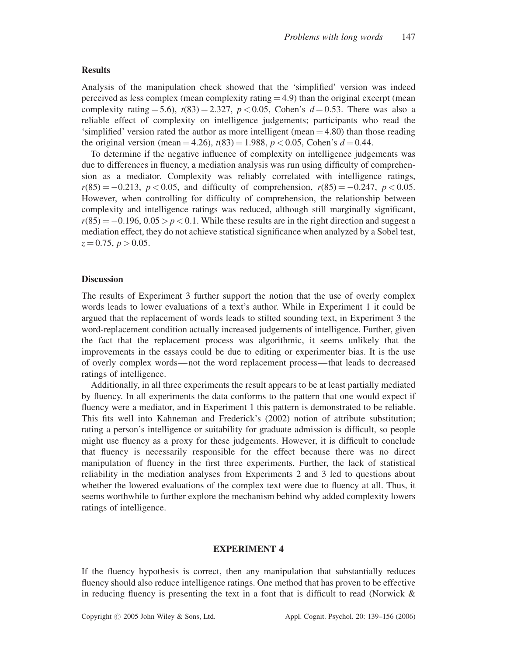#### **Results**

Analysis of the manipulation check showed that the 'simplified' version was indeed perceived as less complex (mean complexity rating  $=$  4.9) than the original excerpt (mean complexity rating = 5.6),  $t(83) = 2.327$ ,  $p < 0.05$ , Cohen's  $d = 0.53$ . There was also a reliable effect of complexity on intelligence judgements; participants who read the 'simplified' version rated the author as more intelligent (mean  $=$  4.80) than those reading the original version (mean = 4.26),  $t(83) = 1.988$ ,  $p < 0.05$ , Cohen's  $d = 0.44$ .

To determine if the negative influence of complexity on intelligence judgements was due to differences in fluency, a mediation analysis was run using difficulty of comprehension as a mediator. Complexity was reliably correlated with intelligence ratings,  $r(85) = -0.213$ ,  $p < 0.05$ , and difficulty of comprehension,  $r(85) = -0.247$ ,  $p < 0.05$ . However, when controlling for difficulty of comprehension, the relationship between complexity and intelligence ratings was reduced, although still marginally significant,  $r(85) = -0.196, 0.05 > p < 0.1$ . While these results are in the right direction and suggest a mediation effect, they do not achieve statistical significance when analyzed by a Sobel test,  $z = 0.75$ ,  $p > 0.05$ .

#### **Discussion**

The results of Experiment 3 further support the notion that the use of overly complex words leads to lower evaluations of a text's author. While in Experiment 1 it could be argued that the replacement of words leads to stilted sounding text, in Experiment 3 the word-replacement condition actually increased judgements of intelligence. Further, given the fact that the replacement process was algorithmic, it seems unlikely that the improvements in the essays could be due to editing or experimenter bias. It is the use of overly complex words—not the word replacement process—that leads to decreased ratings of intelligence.

Additionally, in all three experiments the result appears to be at least partially mediated by fluency. In all experiments the data conforms to the pattern that one would expect if fluency were a mediator, and in Experiment 1 this pattern is demonstrated to be reliable. This fits well into Kahneman and Frederick's (2002) notion of attribute substitution; rating a person's intelligence or suitability for graduate admission is difficult, so people might use fluency as a proxy for these judgements. However, it is difficult to conclude that fluency is necessarily responsible for the effect because there was no direct manipulation of fluency in the first three experiments. Further, the lack of statistical reliability in the mediation analyses from Experiments 2 and 3 led to questions about whether the lowered evaluations of the complex text were due to fluency at all. Thus, it seems worthwhile to further explore the mechanism behind why added complexity lowers ratings of intelligence.

#### EXPERIMENT 4

If the fluency hypothesis is correct, then any manipulation that substantially reduces fluency should also reduce intelligence ratings. One method that has proven to be effective in reducing fluency is presenting the text in a font that is difficult to read (Norwick  $\&$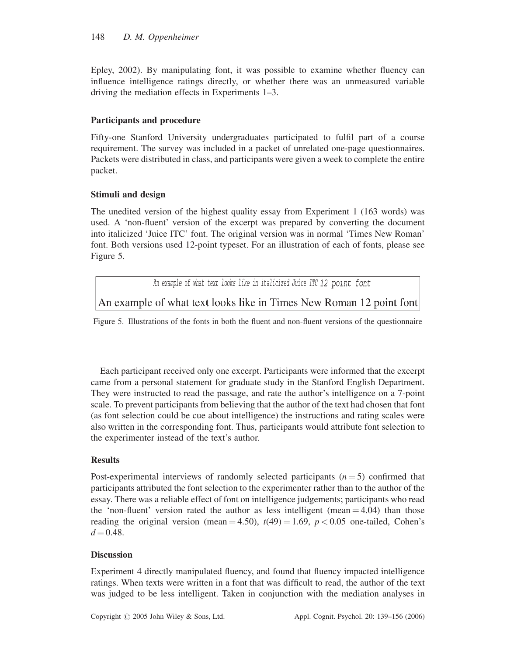## 148 D. M. Oppenheimer

Epley, 2002). By manipulating font, it was possible to examine whether fluency can influence intelligence ratings directly, or whether there was an unmeasured variable driving the mediation effects in Experiments 1–3.

## Participants and procedure

Fifty-one Stanford University undergraduates participated to fulfil part of a course requirement. The survey was included in a packet of unrelated one-page questionnaires. Packets were distributed in class, and participants were given a week to complete the entire packet.

## Stimuli and design

The unedited version of the highest quality essay from Experiment 1 (163 words) was used. A 'non-fluent' version of the excerpt was prepared by converting the document into italicized 'Juice ITC' font. The original version was in normal 'Times New Roman' font. Both versions used 12-point typeset. For an illustration of each of fonts, please see Figure 5.

An example of what text looks like in italicized Juice ITC 12 point font

An example of what text looks like in Times New Roman 12 point font

Figure 5. Illustrations of the fonts in both the fluent and non-fluent versions of the questionnaire

Each participant received only one excerpt. Participants were informed that the excerpt came from a personal statement for graduate study in the Stanford English Department. They were instructed to read the passage, and rate the author's intelligence on a 7-point scale. To prevent participants from believing that the author of the text had chosen that font (as font selection could be cue about intelligence) the instructions and rating scales were also written in the corresponding font. Thus, participants would attribute font selection to the experimenter instead of the text's author.

## Results

Post-experimental interviews of randomly selected participants  $(n = 5)$  confirmed that participants attributed the font selection to the experimenter rather than to the author of the essay. There was a reliable effect of font on intelligence judgements; participants who read the 'non-fluent' version rated the author as less intelligent (mean  $=$  4.04) than those reading the original version (mean = 4.50),  $t(49) = 1.69$ ,  $p < 0.05$  one-tailed, Cohen's  $d = 0.48.$ 

## **Discussion**

Experiment 4 directly manipulated fluency, and found that fluency impacted intelligence ratings. When texts were written in a font that was difficult to read, the author of the text was judged to be less intelligent. Taken in conjunction with the mediation analyses in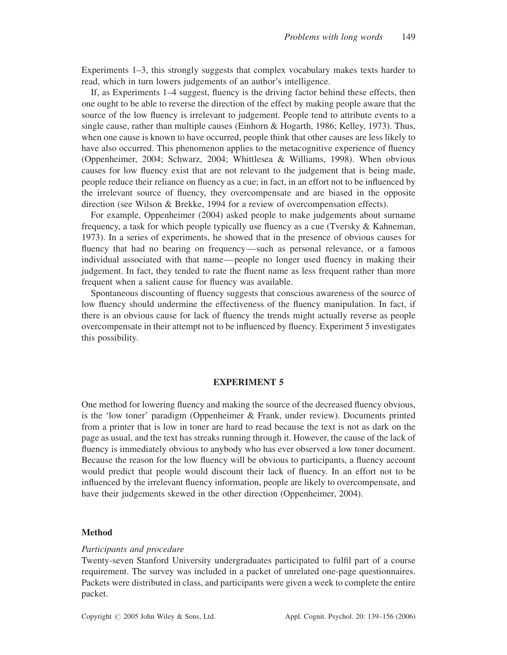Experiments 1–3, this strongly suggests that complex vocabulary makes texts harder to read, which in turn lowers judgements of an author's intelligence.

If, as Experiments 1–4 suggest, fluency is the driving factor behind these effects, then one ought to be able to reverse the direction of the effect by making people aware that the source of the low fluency is irrelevant to judgement. People tend to attribute events to a single cause, rather than multiple causes (Einhorn & Hogarth, 1986; Kelley, 1973). Thus, when one cause is known to have occurred, people think that other causes are less likely to have also occurred. This phenomenon applies to the metacognitive experience of fluency (Oppenheimer, 2004; Schwarz, 2004; Whittlesea & Williams, 1998). When obvious causes for low fluency exist that are not relevant to the judgement that is being made, people reduce their reliance on fluency as a cue; in fact, in an effort not to be influenced by the irrelevant source of fluency, they overcompensate and are biased in the opposite direction (see Wilson & Brekke, 1994 for a review of overcompensation effects).

For example, Oppenheimer (2004) asked people to make judgements about surname frequency, a task for which people typically use fluency as a cue (Tversky & Kahneman, 1973). In a series of experiments, he showed that in the presence of obvious causes for fluency that had no bearing on frequency—such as personal relevance, or a famous individual associated with that name—people no longer used fluency in making their judgement. In fact, they tended to rate the fluent name as less frequent rather than more frequent when a salient cause for fluency was available.

Spontaneous discounting of fluency suggests that conscious awareness of the source of low fluency should undermine the effectiveness of the fluency manipulation. In fact, if there is an obvious cause for lack of fluency the trends might actually reverse as people overcompensate in their attempt not to be influenced by fluency. Experiment 5 investigates this possibility.

#### EXPERIMENT 5

One method for lowering fluency and making the source of the decreased fluency obvious, is the 'low toner' paradigm (Oppenheimer & Frank, under review). Documents printed from a printer that is low in toner are hard to read because the text is not as dark on the page as usual, and the text has streaks running through it. However, the cause of the lack of fluency is immediately obvious to anybody who has ever observed a low toner document. Because the reason for the low fluency will be obvious to participants, a fluency account would predict that people would discount their lack of fluency. In an effort not to be influenced by the irrelevant fluency information, people are likely to overcompensate, and have their judgements skewed in the other direction (Oppenheimer, 2004).

#### Method

#### Participants and procedure

Twenty-seven Stanford University undergraduates participated to fulfil part of a course requirement. The survey was included in a packet of unrelated one-page questionnaires. Packets were distributed in class, and participants were given a week to complete the entire packet.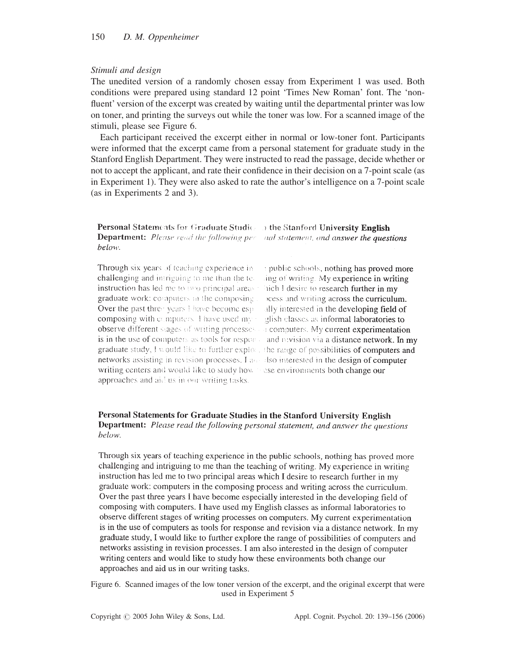#### Stimuli and design

The unedited version of a randomly chosen essay from Experiment 1 was used. Both conditions were prepared using standard 12 point 'Times New Roman' font. The 'nonfluent' version of the excerpt was created by waiting until the departmental printer was low on toner, and printing the surveys out while the toner was low. For a scanned image of the stimuli, please see Figure 6.

Each participant received the excerpt either in normal or low-toner font. Participants were informed that the excerpt came from a personal statement for graduate study in the Stanford English Department. They were instructed to read the passage, decide whether or not to accept the applicant, and rate their confidence in their decision on a 7-point scale (as in Experiment 1). They were also asked to rate the author's intelligence on a 7-point scale (as in Experiments 2 and 3).

## Personal Statements for Graduate Studies a the Stanford University English **Department:** Please read the following perbelow.

Through six years of teaching experience in challenging and intriguing to me than the teinstruction has led me to two principal areas graduate work: computers in the composing. Over the past three years I have become espcomposing with computers. I have used myobserve different stages of writing processes is in the use of computers as tools for respongraduate study, I would like to further explor. networks assisting in revision processes. I am writing centers and would like to study how approaches and aid us in our writing tasks.

# nal statement, and answer the questions

public schools, nothing has proved more ing of writing. My experience in writing hich I desire to research further in my ocess and writing across the curriculum. ally interested in the developing field of glish classes as informal laboratories to computers. My current experimentation and revision via a distance network. In my the range of possibilities of computers and also interested in the design of computer ese environments both change our

#### Personal Statements for Graduate Studies in the Stanford University English Department: Please read the following personal statement, and answer the questions below.

Through six years of teaching experience in the public schools, nothing has proved more challenging and intriguing to me than the teaching of writing. My experience in writing instruction has led me to two principal areas which I desire to research further in my graduate work: computers in the composing process and writing across the curriculum. Over the past three years I have become especially interested in the developing field of composing with computers. I have used my English classes as informal laboratories to observe different stages of writing processes on computers. My current experimentation is in the use of computers as tools for response and revision via a distance network. In my graduate study, I would like to further explore the range of possibilities of computers and networks assisting in revision processes. I am also interested in the design of computer writing centers and would like to study how these environments both change our approaches and aid us in our writing tasks.

Figure 6. Scanned images of the low toner version of the excerpt, and the original excerpt that were used in Experiment 5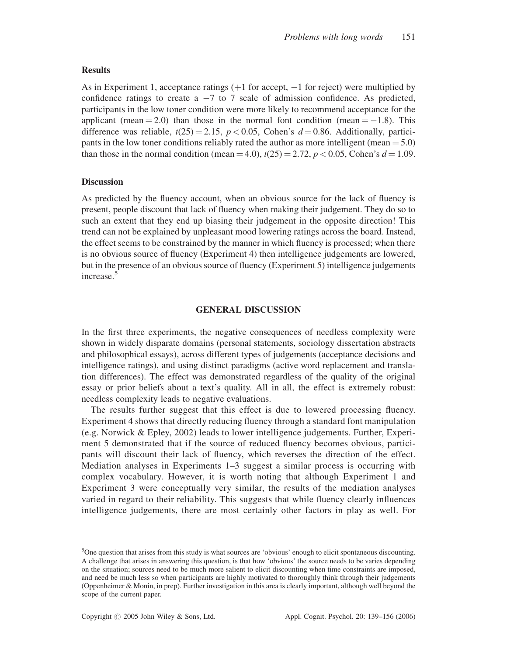#### **Results**

As in Experiment 1, acceptance ratings  $(+1$  for accept,  $-1$  for reject) were multiplied by confidence ratings to create a  $-7$  to 7 scale of admission confidence. As predicted, participants in the low toner condition were more likely to recommend acceptance for the applicant (mean  $= 2.0$ ) than those in the normal font condition (mean  $= -1.8$ ). This difference was reliable,  $t(25) = 2.15$ ,  $p < 0.05$ , Cohen's  $d = 0.86$ . Additionally, participants in the low toner conditions reliably rated the author as more intelligent (mean  $= 5.0$ ) than those in the normal condition (mean = 4.0),  $t(25) = 2.72$ ,  $p < 0.05$ , Cohen's  $d = 1.09$ .

## Discussion

As predicted by the fluency account, when an obvious source for the lack of fluency is present, people discount that lack of fluency when making their judgement. They do so to such an extent that they end up biasing their judgement in the opposite direction! This trend can not be explained by unpleasant mood lowering ratings across the board. Instead, the effect seems to be constrained by the manner in which fluency is processed; when there is no obvious source of fluency (Experiment 4) then intelligence judgements are lowered, but in the presence of an obvious source of fluency (Experiment 5) intelligence judgements increase.<sup>5</sup>

#### GENERAL DISCUSSION

In the first three experiments, the negative consequences of needless complexity were shown in widely disparate domains (personal statements, sociology dissertation abstracts and philosophical essays), across different types of judgements (acceptance decisions and intelligence ratings), and using distinct paradigms (active word replacement and translation differences). The effect was demonstrated regardless of the quality of the original essay or prior beliefs about a text's quality. All in all, the effect is extremely robust: needless complexity leads to negative evaluations.

The results further suggest that this effect is due to lowered processing fluency. Experiment 4 shows that directly reducing fluency through a standard font manipulation (e.g. Norwick & Epley, 2002) leads to lower intelligence judgements. Further, Experiment 5 demonstrated that if the source of reduced fluency becomes obvious, participants will discount their lack of fluency, which reverses the direction of the effect. Mediation analyses in Experiments 1–3 suggest a similar process is occurring with complex vocabulary. However, it is worth noting that although Experiment 1 and Experiment 3 were conceptually very similar, the results of the mediation analyses varied in regard to their reliability. This suggests that while fluency clearly influences intelligence judgements, there are most certainly other factors in play as well. For

<sup>&</sup>lt;sup>5</sup>One question that arises from this study is what sources are 'obvious' enough to elicit spontaneous discounting. A challenge that arises in answering this question, is that how 'obvious' the source needs to be varies depending on the situation; sources need to be much more salient to elicit discounting when time constraints are imposed, and need be much less so when participants are highly motivated to thoroughly think through their judgements (Oppenheimer & Monin, in prep). Further investigation in this area is clearly important, although well beyond the scope of the current paper.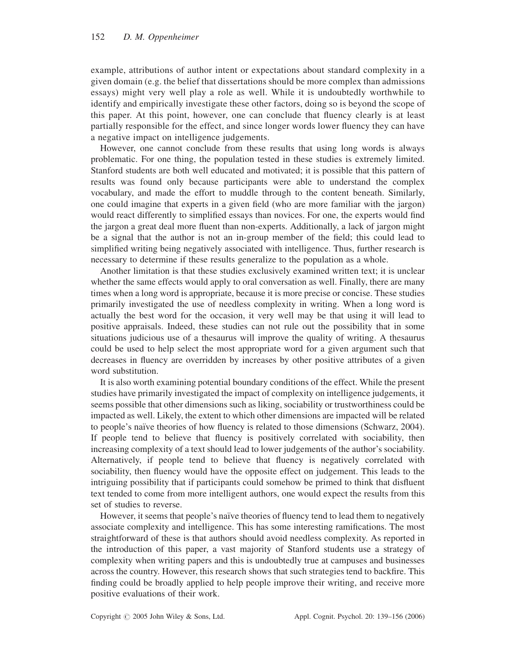example, attributions of author intent or expectations about standard complexity in a given domain (e.g. the belief that dissertations should be more complex than admissions essays) might very well play a role as well. While it is undoubtedly worthwhile to identify and empirically investigate these other factors, doing so is beyond the scope of this paper. At this point, however, one can conclude that fluency clearly is at least partially responsible for the effect, and since longer words lower fluency they can have a negative impact on intelligence judgements.

However, one cannot conclude from these results that using long words is always problematic. For one thing, the population tested in these studies is extremely limited. Stanford students are both well educated and motivated; it is possible that this pattern of results was found only because participants were able to understand the complex vocabulary, and made the effort to muddle through to the content beneath. Similarly, one could imagine that experts in a given field (who are more familiar with the jargon) would react differently to simplified essays than novices. For one, the experts would find the jargon a great deal more fluent than non-experts. Additionally, a lack of jargon might be a signal that the author is not an in-group member of the field; this could lead to simplified writing being negatively associated with intelligence. Thus, further research is necessary to determine if these results generalize to the population as a whole.

Another limitation is that these studies exclusively examined written text; it is unclear whether the same effects would apply to oral conversation as well. Finally, there are many times when a long word is appropriate, because it is more precise or concise. These studies primarily investigated the use of needless complexity in writing. When a long word is actually the best word for the occasion, it very well may be that using it will lead to positive appraisals. Indeed, these studies can not rule out the possibility that in some situations judicious use of a thesaurus will improve the quality of writing. A thesaurus could be used to help select the most appropriate word for a given argument such that decreases in fluency are overridden by increases by other positive attributes of a given word substitution.

It is also worth examining potential boundary conditions of the effect. While the present studies have primarily investigated the impact of complexity on intelligence judgements, it seems possible that other dimensions such as liking, sociability or trustworthiness could be impacted as well. Likely, the extent to which other dimensions are impacted will be related to people's naïve theories of how fluency is related to those dimensions (Schwarz, 2004). If people tend to believe that fluency is positively correlated with sociability, then increasing complexity of a text should lead to lower judgements of the author's sociability. Alternatively, if people tend to believe that fluency is negatively correlated with sociability, then fluency would have the opposite effect on judgement. This leads to the intriguing possibility that if participants could somehow be primed to think that disfluent text tended to come from more intelligent authors, one would expect the results from this set of studies to reverse.

However, it seems that people's naive theories of fluency tend to lead them to negatively associate complexity and intelligence. This has some interesting ramifications. The most straightforward of these is that authors should avoid needless complexity. As reported in the introduction of this paper, a vast majority of Stanford students use a strategy of complexity when writing papers and this is undoubtedly true at campuses and businesses across the country. However, this research shows that such strategies tend to backfire. This finding could be broadly applied to help people improve their writing, and receive more positive evaluations of their work.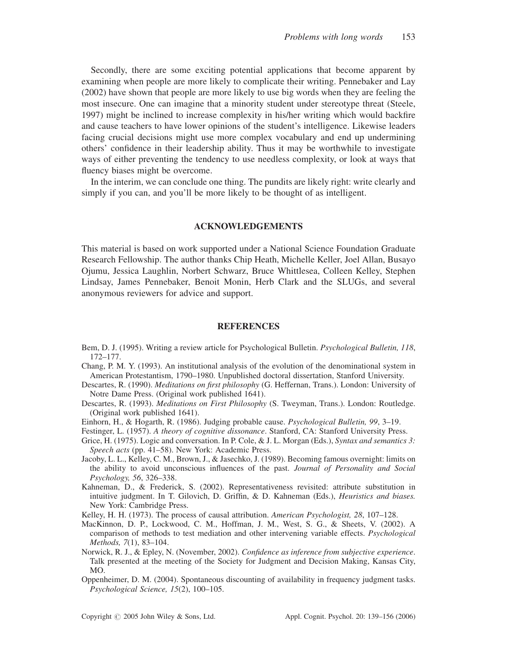Secondly, there are some exciting potential applications that become apparent by examining when people are more likely to complicate their writing. Pennebaker and Lay (2002) have shown that people are more likely to use big words when they are feeling the most insecure. One can imagine that a minority student under stereotype threat (Steele, 1997) might be inclined to increase complexity in his/her writing which would backfire and cause teachers to have lower opinions of the student's intelligence. Likewise leaders facing crucial decisions might use more complex vocabulary and end up undermining others' confidence in their leadership ability. Thus it may be worthwhile to investigate ways of either preventing the tendency to use needless complexity, or look at ways that fluency biases might be overcome.

In the interim, we can conclude one thing. The pundits are likely right: write clearly and simply if you can, and you'll be more likely to be thought of as intelligent.

#### ACKNOWLEDGEMENTS

This material is based on work supported under a National Science Foundation Graduate Research Fellowship. The author thanks Chip Heath, Michelle Keller, Joel Allan, Busayo Ojumu, Jessica Laughlin, Norbert Schwarz, Bruce Whittlesea, Colleen Kelley, Stephen Lindsay, James Pennebaker, Benoit Monin, Herb Clark and the SLUGs, and several anonymous reviewers for advice and support.

#### **REFERENCES**

- Bem, D. J. (1995). Writing a review article for Psychological Bulletin. Psychological Bulletin, 118, 172–177.
- Chang, P. M. Y. (1993). An institutional analysis of the evolution of the denominational system in American Protestantism, 1790–1980. Unpublished doctoral dissertation, Stanford University.
- Descartes, R. (1990). Meditations on first philosophy (G. Heffernan, Trans.). London: University of Notre Dame Press. (Original work published 1641).
- Descartes, R. (1993). Meditations on First Philosophy (S. Tweyman, Trans.). London: Routledge. (Original work published 1641).
- Einhorn, H., & Hogarth, R. (1986). Judging probable cause. Psychological Bulletin, 99, 3–19.
- Festinger, L. (1957). A theory of cognitive dissonance. Stanford, CA: Stanford University Press.
- Grice, H. (1975). Logic and conversation. In P. Cole, & J. L. Morgan (Eds.), Syntax and semantics 3: Speech acts (pp. 41–58). New York: Academic Press.
- Jacoby, L. L., Kelley, C. M., Brown, J., & Jasechko, J. (1989). Becoming famous overnight: limits on the ability to avoid unconscious influences of the past. Journal of Personality and Social Psychology, 56, 326–338.
- Kahneman, D., & Frederick, S. (2002). Representativeness revisited: attribute substitution in intuitive judgment. In T. Gilovich, D. Griffin, & D. Kahneman (Eds.), Heuristics and biases. New York: Cambridge Press.
- Kelley, H. H. (1973). The process of causal attribution. American Psychologist, 28, 107–128.
- MacKinnon, D. P., Lockwood, C. M., Hoffman, J. M., West, S. G., & Sheets, V. (2002). A comparison of methods to test mediation and other intervening variable effects. Psychological Methods, 7(1), 83–104.
- Norwick, R. J., & Epley, N. (November, 2002). Confidence as inference from subjective experience. Talk presented at the meeting of the Society for Judgment and Decision Making, Kansas City, MO.
- Oppenheimer, D. M. (2004). Spontaneous discounting of availability in frequency judgment tasks. Psychological Science, 15(2), 100–105.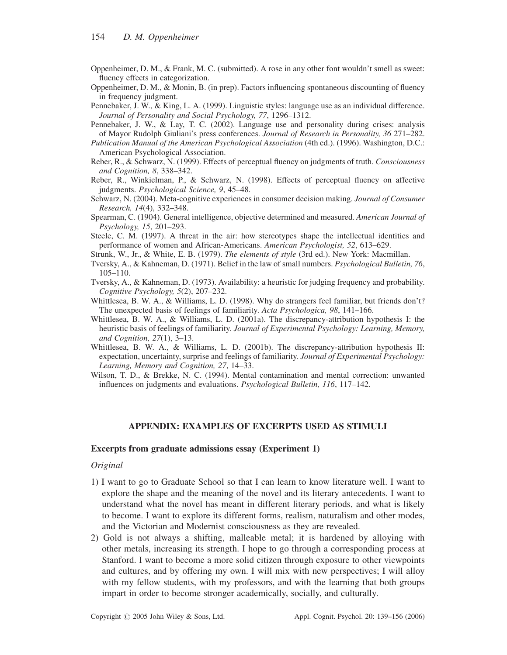- Oppenheimer, D. M., & Frank, M. C. (submitted). A rose in any other font wouldn't smell as sweet: fluency effects in categorization.
- Oppenheimer, D. M., & Monin, B. (in prep). Factors influencing spontaneous discounting of fluency in frequency judgment.
- Pennebaker, J. W., & King, L. A. (1999). Linguistic styles: language use as an individual difference. Journal of Personality and Social Psychology, 77, 1296–1312.
- Pennebaker, J. W., & Lay, T. C. (2002). Language use and personality during crises: analysis of Mayor Rudolph Giuliani's press conferences. Journal of Research in Personality, 36 271-282.
- Publication Manual of the American Psychological Association (4th ed.). (1996). Washington, D.C.: American Psychological Association.
- Reber, R., & Schwarz, N. (1999). Effects of perceptual fluency on judgments of truth. Consciousness and Cognition, 8, 338–342.
- Reber, R., Winkielman, P., & Schwarz, N. (1998). Effects of perceptual fluency on affective judgments. Psychological Science, 9, 45–48.
- Schwarz, N. (2004). Meta-cognitive experiences in consumer decision making. Journal of Consumer Research, 14(4), 332–348.
- Spearman, C. (1904). General intelligence, objective determined and measured. American Journal of Psychology, 15, 201–293.
- Steele, C. M. (1997). A threat in the air: how stereotypes shape the intellectual identities and performance of women and African-Americans. American Psychologist, 52, 613–629.
- Strunk, W., Jr., & White, E. B. (1979). The elements of style (3rd ed.). New York: Macmillan.
- Tversky, A., & Kahneman, D. (1971). Belief in the law of small numbers. Psychological Bulletin, 76, 105–110.
- Tversky, A., & Kahneman, D. (1973). Availability: a heuristic for judging frequency and probability. Cognitive Psychology, 5(2), 207–232.
- Whittlesea, B. W. A., & Williams, L. D. (1998). Why do strangers feel familiar, but friends don't? The unexpected basis of feelings of familiarity. Acta Psychologica, 98, 141–166.
- Whittlesea, B. W. A., & Williams, L. D. (2001a). The discrepancy-attribution hypothesis I: the heuristic basis of feelings of familiarity. Journal of Experimental Psychology: Learning, Memory, and Cognition, 27(1), 3–13.
- Whittlesea, B. W. A., & Williams, L. D. (2001b). The discrepancy-attribution hypothesis II: expectation, uncertainty, surprise and feelings of familiarity. Journal of Experimental Psychology: Learning, Memory and Cognition, 27, 14–33.
- Wilson, T. D., & Brekke, N. C. (1994). Mental contamination and mental correction: unwanted influences on judgments and evaluations. Psychological Bulletin, 116, 117–142.

#### APPENDIX: EXAMPLES OF EXCERPTS USED AS STIMULI

#### Excerpts from graduate admissions essay (Experiment 1)

#### Original

- 1) I want to go to Graduate School so that I can learn to know literature well. I want to explore the shape and the meaning of the novel and its literary antecedents. I want to understand what the novel has meant in different literary periods, and what is likely to become. I want to explore its different forms, realism, naturalism and other modes, and the Victorian and Modernist consciousness as they are revealed.
- 2) Gold is not always a shifting, malleable metal; it is hardened by alloying with other metals, increasing its strength. I hope to go through a corresponding process at Stanford. I want to become a more solid citizen through exposure to other viewpoints and cultures, and by offering my own. I will mix with new perspectives; I will alloy with my fellow students, with my professors, and with the learning that both groups impart in order to become stronger academically, socially, and culturally.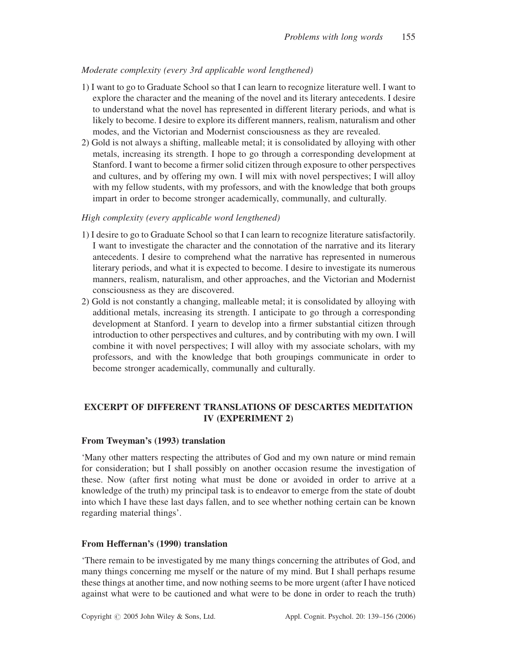## Moderate complexity (every 3rd applicable word lengthened)

- 1) I want to go to Graduate School so that I can learn to recognize literature well. I want to explore the character and the meaning of the novel and its literary antecedents. I desire to understand what the novel has represented in different literary periods, and what is likely to become. I desire to explore its different manners, realism, naturalism and other modes, and the Victorian and Modernist consciousness as they are revealed.
- 2) Gold is not always a shifting, malleable metal; it is consolidated by alloying with other metals, increasing its strength. I hope to go through a corresponding development at Stanford. I want to become a firmer solid citizen through exposure to other perspectives and cultures, and by offering my own. I will mix with novel perspectives; I will alloy with my fellow students, with my professors, and with the knowledge that both groups impart in order to become stronger academically, communally, and culturally.

## High complexity (every applicable word lengthened)

- 1) I desire to go to Graduate School so that I can learn to recognize literature satisfactorily. I want to investigate the character and the connotation of the narrative and its literary antecedents. I desire to comprehend what the narrative has represented in numerous literary periods, and what it is expected to become. I desire to investigate its numerous manners, realism, naturalism, and other approaches, and the Victorian and Modernist consciousness as they are discovered.
- 2) Gold is not constantly a changing, malleable metal; it is consolidated by alloying with additional metals, increasing its strength. I anticipate to go through a corresponding development at Stanford. I yearn to develop into a firmer substantial citizen through introduction to other perspectives and cultures, and by contributing with my own. I will combine it with novel perspectives; I will alloy with my associate scholars, with my professors, and with the knowledge that both groupings communicate in order to become stronger academically, communally and culturally.

## EXCERPT OF DIFFERENT TRANSLATIONS OF DESCARTES MEDITATION IV (EXPERIMENT 2)

## From Tweyman's (1993) translation

'Many other matters respecting the attributes of God and my own nature or mind remain for consideration; but I shall possibly on another occasion resume the investigation of these. Now (after first noting what must be done or avoided in order to arrive at a knowledge of the truth) my principal task is to endeavor to emerge from the state of doubt into which I have these last days fallen, and to see whether nothing certain can be known regarding material things'.

## From Heffernan's (1990) translation

'There remain to be investigated by me many things concerning the attributes of God, and many things concerning me myself or the nature of my mind. But I shall perhaps resume these things at another time, and now nothing seems to be more urgent (after I have noticed against what were to be cautioned and what were to be done in order to reach the truth)